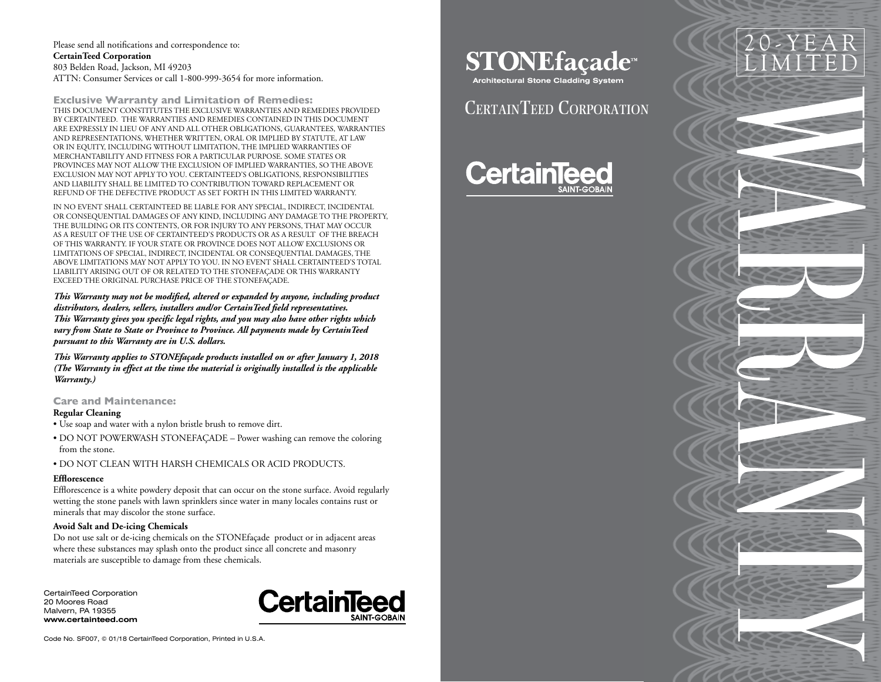Please send all notifications and correspondence to: **CertainTeed Corporation** 803 Belden Road, Jackson, MI 49203 ATTN: Consumer Services or call 1-800-999-3654 for more information.

**Exclusive Warranty and Limitation of Remedies:** THIS DOCUMENT CONSTITUTES THE EXCLUSIVE WARRANTIES AND REMEDIES PROVIDED BY CERTAINTEED. THE WARRANTIES AND REMEDIES CONTAINED IN THIS DOCUMENT ARE EXPRESSLY IN LIEU OF ANY AND ALL OTHER OBLIGATIONS, GUARANTEES, WARRANTIES AND REPRESENTATIONS, WHETHER WRITTEN, ORAL OR IMPLIED BY STATUTE, AT LAW OR IN EQUITY, INCLUDING WITHOUT LIMITATION, THE IMPLIED WARRANTIES OF MERCHANTABILITY AND FITNESS FOR A PARTICULAR PURPOSE. SOME STATES OR PROVINCES MAY NOT ALLOW THE EXCLUSION OF IMPLIED WARRANTIES, SO THE ABOVE EXCLUSION MAY NOT APPLY TO YOU. CERTAINTEED'S OBLIGATIONS, RESPONSIBILITIES AND LIABILITY SHALL BE LIMITED TO CONTRIBUTION TOWARD REPLACEMENT OR REFUND OF THE DEFECTIVE PRODUCT AS SET FORTH IN THIS LIMITED WARRANTY.

IN NO EVENT SHALL CERTAINTEED BE LIABLE FOR ANY SPECIAL, INDIRECT, INCIDENTAL OR CONSEQUENTIAL DAMAGES OF ANY KIND, INCLUDING ANY DAMAGE TO THE PROPERTY, THE BUILDING OR ITS CONTENTS, OR FOR INJURY TO ANY PERSONS, THAT MAY OCCUR AS A RESULT OF THE USE OF CERTAINTEED'S PRODUCTS OR AS A RESULT OF THE BREACH OF THIS WARRANTY. IF YOUR STATE OR PROVINCE DOES NOT ALLOW EXCLUSIONS OR LIMITATIONS OF SPECIAL, INDIRECT, INCIDENTAL OR CONSEQUENTIAL DAMAGES, THE ABOVE LIMITATIONS MAY NOT APPLY TO YOU. IN NO EVENT SHALL CERTAINTEED'S TOTAL LIABILITY ARISING OUT OF OR RELATED TO THE STONEFAÇADE OR THIS WARRANTY EXCEED THE ORIGINAL PURCHASE PRICE OF THE STONEFAÇADE.

*This Warranty may not be modified, altered or expanded by anyone, including product distributors, dealers, sellers, installers and/or CertainTeed field representatives. This Warranty gives you specific legal rights, and you may also have other rights which vary from State to State or Province to Province. All payments made by CertainTeed pursuant to this Warranty are in U.S. dollars.*

*This Warranty applies to STONEfaçade products installed on or after January 1, 2018 (The Warranty in effect at the time the material is originally installed is the applicable Warranty.)*

**Care and Maintenance:**

#### **Regular Cleaning**

- Use soap and water with a nylon bristle brush to remove dirt.
- DO NOT POWERWASH STONEFAÇADE Power washing can remove the coloring from the stone.
- DO NOT CLEAN WITH HARSH CHEMICALS OR ACID PRODUCTS.

#### **Efflorescence**

Efflorescence is a white powdery deposit that can occur on the stone surface. Avoid regularly wetting the stone panels with lawn sprinklers since water in many locales contains rust or minerals that may discolor the stone surface.

# **Avoid Salt and De-icing Chemicals**

Do not use salt or de-icing chemicals on the STONEfaçade product or in adjacent areas where these substances may splash onto the product since all concrete and masonry materials are susceptible to damage from these chemicals.

CertainTeed Corporation 20 Moores Road Malvern, PA 19355 **www.certainteed.com**



Code No. SF007, © 01/18 CertainTeed Corporation, Printed in U.S.A.

**STONEfaçade**<sup>™</sup>

20-YEAR LIMITED

**Architectural Stone Cladding System**

# CERTAINTEED CORPORATION